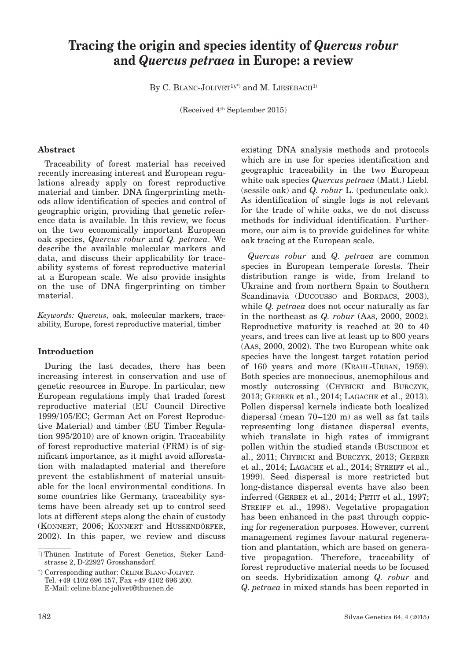# **Tracing the origin and species identity of** *Quercus robur* **and** *Quercus petraea* **in Europe: a review**

By C. BLANC-JOLIVET<sup>1),\*)</sup> and M. LIESEBACH<sup>1)</sup>

(Received 4th September 2015)

#### **Abstract**

Traceability of forest material has received recently increasing interest and European regulations already apply on forest reproductive material and timber. DNA fingerprinting methods allow identification of species and control of geographic origin, providing that genetic reference data is available. In this review, we focus on the two economically important European oak species, *Quercus robur* and *Q. petraea*. We describe the available molecular markers and data, and discuss their applicability for traceability systems of forest reproductive material at a European scale. We also provide insights on the use of DNA fingerprinting on timber material.

*Keywords: Quercus*, oak, molecular markers, traceability, Europe, forest reproductive material, timber

#### **Introduction**

During the last decades, there has been increasing interest in conservation and use of genetic resources in Europe. In particular, new European regulations imply that traded forest reproductive material (EU Council Directive 1999/105/EC; German Act on Forest Reproductive Material) and timber (EU Timber Regulation 995/2010) are of known origin. Traceability of forest reproductive material (FRM) is of significant importance, as it might avoid afforestation with maladapted material and therefore prevent the establishment of material unsuitable for the local environmental conditions. In some countries like Germany, traceability systems have been already set up to control seed lots at different steps along the chain of custody (KONNERT, 2006; KONNERT and HUSSENDÖRFER, 2002). In this paper, we review and discuss

existing DNA analysis methods and protocols which are in use for species identification and geographic traceability in the two European white oak species *Quercus petraea* (Matt.) Liebl. (sessile oak) and *Q. robur* L. (pedunculate oak). As identification of single logs is not relevant for the trade of white oaks, we do not discuss methods for individual identification. Furthermore, our aim is to provide guidelines for white oak tracing at the European scale.

*Quercus robur* and *Q. petraea* are common species in European temperate forests. Their distribution range is wide, from Ireland to Ukraine and from northern Spain to Southern Scandinavia (DUCOUSSO and BORDACS, 2003), while *Q. petraea* does not occur naturally as far in the northeast as *Q. robur* (AAS, 2000, 2002). Reproductive maturity is reached at 20 to 40 years, and trees can live at least up to 800 years (AAS, 2000, 2002). The two European white oak species have the longest target rotation period of 160 years and more (KRAHL-URBAN, 1959). Both species are monoecious, anemophilous and mostly outcrossing (CHYBICKI and BURCZYK, 2013; GERBER et al., 2014; LAGACHE et al., 2013). Pollen dispersal kernels indicate both localized dispersal (mean 70–120 m) as well as fat tails representing long distance dispersal events, which translate in high rates of immigrant pollen within the studied stands (BUSCHBOM et al., 2011; CHYBICKI and BURCZYK, 2013; GERBER et al., 2014; LAGACHE et al., 2014; STREIFF et al., 1999). Seed dispersal is more restricted but long-distance dispersal events have also been inferred (GERBER et al., 2014; PETIT et al., 1997; STREIFF et al., 1998). Vegetative propagation has been enhanced in the past through coppicing for regeneration purposes. However, current management regimes favour natural regeneration and plantation, which are based on generative propagation. Therefore, traceability of forest reproductive material needs to be focused on seeds. Hybridization among *Q. robur* and *Q. petraea* in mixed stands has been reported in

<sup>1)</sup> Thünen Institute of Forest Genetics, Sieker Landstrasse 2, D-22927 Grosshansdorf.

<sup>\*)</sup> Corresponding author: CÉLINE BLANC-JOLIVET. Tel. +49 4102 696 157, Fax +49 4102 696 200. E-Mail: celine.blanc-jolivet@thuenen.de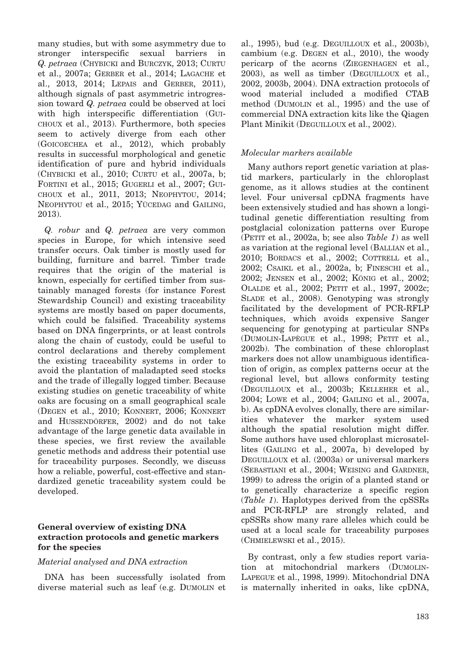many studies, but with some asymmetry due to stronger interspecific sexual barriers in *Q. petraea* (CHYBICKI and BURCZYK, 2013; CURTU et al., 2007a; GERBER et al., 2014; LAGACHE et al., 2013, 2014; LEPAIS and GERBER, 2011), although signals of past asymmetric introgression toward *Q. petraea* could be observed at loci with high interspecific differentiation (GUI-CHOUX et al., 2013). Furthermore, both species seem to actively diverge from each other (GOICOECHEA et al., 2012), which probably results in successful morphological and genetic identification of pure and hybrid individuals (CHYBICKI et al., 2010; CURTU et al., 2007a, b; FORTINI et al., 2015; GUGERLI et al., 2007; GUI-CHOUX et al., 2011, 2013; NEOPHYTOU, 2014; NEOPHYTOU et al., 2015; YÜCEDAG and GAILING, 2013).

*Q. robur* and *Q. petraea* are very common species in Europe, for which intensive seed transfer occurs. Oak timber is mostly used for building, furniture and barrel. Timber trade requires that the origin of the material is known, especially for certified timber from sustainably managed forests (for instance Forest Stewardship Council) and existing traceability systems are mostly based on paper documents, which could be falsified. Traceability systems based on DNA fingerprints, or at least controls along the chain of custody, could be useful to control declarations and thereby complement the existing traceability systems in order to avoid the plantation of maladapted seed stocks and the trade of illegally logged timber. Because existing studies on genetic traceability of white oaks are focusing on a small geographical scale (DEGEN et al., 2010; KONNERT, 2006; KONNERT and HUSSENDÖRFER, 2002) and do not take advantage of the large genetic data available in these species, we first review the available genetic methods and address their potential use for traceability purposes. Secondly, we discuss how a reliable, powerful, cost-effective and standardized genetic traceability system could be developed.

### **General overview of existing DNA extraction protocols and genetic markers for the species**

#### *Material analysed and DNA extraction*

DNA has been successfully isolated from diverse material such as leaf (e.g. DUMOLIN et al., 1995), bud (e.g. DEGUILLOUX et al., 2003b), cambium (e.g. DEGEN et al., 2010), the woody pericarp of the acorns (ZIEGENHAGEN et al., 2003), as well as timber (DEGUILLOUX et al., 2002, 2003b, 2004). DNA extraction protocols of wood material included a modified CTAB method (DUMOLIN et al., 1995) and the use of commercial DNA extraction kits like the Qiagen Plant Minikit (DEGUILLOUX et al., 2002).

#### *Molecular markers available*

Many authors report genetic variation at plastid markers, particularly in the chloroplast genome, as it allows studies at the continent level. Four universal cpDNA fragments have been extensively studied and has shown a longitudinal genetic differentiation resulting from postglacial colonization patterns over Europe (PETIT et al., 2002a, b; see also *Table 1*) as well as variation at the regional level (BALLIAN et al., 2010; BORDACS et al., 2002; COTTRELL et al., 2002; CSAIKL et al., 2002a, b; FINESCHI et al., 2002; JENSEN et al., 2002; KÖNIG et al., 2002; OLALDE et al., 2002; PETIT et al., 1997, 2002c; SLADE et al., 2008). Genotyping was strongly facilitated by the development of PCR-RFLP techniques, which avoids expensive Sanger sequencing for genotyping at particular SNPs (DUMOLIN-LAPÈGUE et al., 1998; PETIT et al., 2002b). The combination of these chloroplast markers does not allow unambiguous identification of origin, as complex patterns occur at the regional level, but allows conformity testing (DEGUILLOUX et al., 2003b; KELLEHER et al., 2004; LOWE et al., 2004; GAILING et al., 2007a, b). As cpDNA evolves clonally, there are similarities whatever the marker system used although the spatial resolution might differ. Some authors have used chloroplast microsatellites (GAILING et al., 2007a, b) developed by DEGUILLOUX et al. (2003a) or universal markers (SEBASTIANI et al., 2004; WEISING and GARDNER, 1999) to adress the origin of a planted stand or to genetically characterize a specific region (*Table 1*). Haplotypes derived from the cpSSRs and PCR-RFLP are strongly related, and cpSSRs show many rare alleles which could be used at a local scale for traceability purposes (CHMIELEWSKI et al., 2015).

By contrast, only a few studies report variation at mitochondrial markers (DUMOLIN-LAPEGUE et al., 1998, 1999). Mitochondrial DNA is maternally inherited in oaks, like cpDNA,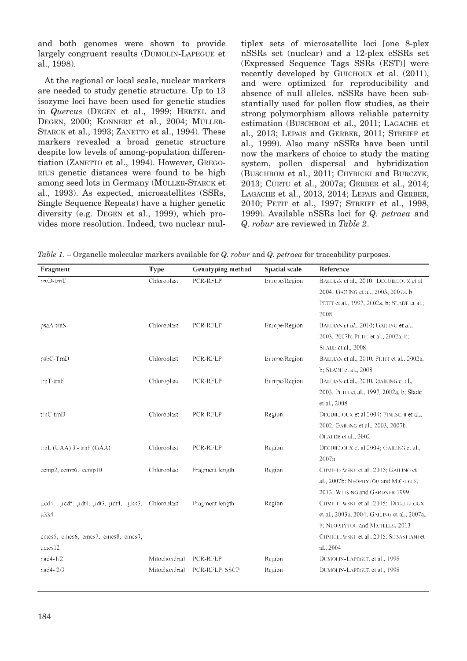and both genomes were shown to provide largely congruent results (DUMOLIN-LAPEGUE et al., 1998).

At the regional or local scale, nuclear markers are needed to study genetic structure. Up to 13 isozyme loci have been used for genetic studies in *Quercus* (DEGEN et al., 1999; HERTEL and DEGEN, 2000; KONNERT et al., 2004; MÜLLER-STARCK et al., 1993; ZANETTO et al., 1994). These markers revealed a broad genetic structure despite low levels of among-population differentiation (ZANETTO et al., 1994). However, GREGO-RIUS genetic distances were found to be high among seed lots in Germany (MÜLLER-STARCK et al., 1993). As expected, microsatellites (SSRs, Single Sequence Repeats) have a higher genetic diversity (e.g. DEGEN et al., 1999), which provides more resolution. Indeed, two nuclear multiplex sets of microsatellite loci [one 8-plex nSSRs set (nuclear) and a 12-plex eSSRs set (Expressed Sequence Tags SSRs (EST)] were recently developed by GUICHOUX et al.  $(2011)$ , and were optimized for reproducibility and absence of null alleles. nSSRs have been substantially used for pollen flow studies, as their strong polymorphism allows reliable paternity estimation (BUSCHBOM et al., 2011; LAGACHE et al., 2013; LEPAIS and GERBER, 2011; STREIFF et al., 1999). Also many nSSRs have been until now the markers of choice to study the mating system, pollen dispersal and hybridization (BUSCHBOM et al., 2011; CHYBICKI and BURCZYK, 2013; CURTU et al., 2007a; GERBER et al., 2014; LAGACHE et al., 2013, 2014; LEPAIS and GERBER, 2010; PETIT et al., 1997; STREIFF et al., 1998, 1999). Available nSSRs loci for *Q. petraea* and *Q. robur* are reviewed in *Table 2*.

*Table 1.* – Organelle molecular markers available for *Q. robur* and *Q. petraea* for traceability purposes.

| Fragment                                        | <b>Type</b>   | Genotyping method | <b>Spatial</b> scale | Reference                                   |
|-------------------------------------------------|---------------|-------------------|----------------------|---------------------------------------------|
| $tnnD-trnT$                                     | Chloroplast   | PCR-RFLP          | Europe/Region        | BALLIAN et al., 2010: DEGUILLOUX et al.     |
|                                                 |               |                   |                      | 2004; GAILING et al., 2003, 2007a, b;       |
|                                                 |               |                   |                      | PETIT et al., 1997, 2002a, b; SLADE et al., |
|                                                 |               |                   |                      | 2008                                        |
| psaA-trnS                                       | Chloroplast   | PCR-RFLP          | Europe/Region        | BALLIAN et al., 2010; GAILING et al.,       |
|                                                 |               |                   |                      | 2003, 2007b; PETT et al., 2002a, b;         |
|                                                 |               |                   |                      | SLADE et al., 2008                          |
| psbC-TmD                                        | Chloroplast   | PCR-RFLP          | Europe/Region        | BALLIAN et al., 2010; PETIT et al., 2002a,  |
|                                                 |               |                   |                      | b; SLADE et al., 2008                       |
| $\text{trnT-trnF}$                              | Chloroplast   | PCR-RFLP          | Europe/Region        | BALLIAN et al., 2010; GAILING et al.,       |
|                                                 |               |                   |                      | 2003; PETT et al., 1997, 2002a, b; Slade    |
|                                                 |               |                   |                      | et al., 2008                                |
| $trnC-trnD$                                     | Chloroplast   | PCR-RFLP          | Region               | DEGUILLOUX et al 2004; FINESCHI et al.,     |
|                                                 |               |                   |                      | 2002; GAILING et al., 2003, 2007b:          |
|                                                 |               |                   |                      | OLALDE et al., 2002                         |
| $trnL$ (UAA) 3'- $trnF$ (GAA)                   | Chloroplast   | PCR-RFLP          | Region               | DEGUILLOUX et al 2004; GAILING et al.,      |
|                                                 |               |                   |                      | 2007a                                       |
| cemp2, cemp6, cemp10                            | Chloroplast   | Fragment length   | Region               | CHMIELEWSKI et al., 2015; GAILING et        |
|                                                 |               |                   |                      | al., 2007b; NEOPHYTOU and MICHIELS,         |
|                                                 |               |                   |                      | 2013; WEISING and GARDNER 1999.             |
| ucd4, ucd5, udt1, udt3, udt4, ukk3, Chloroplast |               | Fragment length   | Region               | CHMIELEWSKI et al., 2015; DEGUILLOUX        |
| µkk4                                            |               |                   |                      | et al., 2003a, 2004; GAILING et al., 2007a, |
|                                                 |               |                   |                      | b; NEOPHYTOU and MICHIELS, 2013             |
| emes5, emes6, emes7, emes8, emes9,              |               |                   |                      | CIIMIELEWSKI et al., 2015; SEBASTIANI et    |
| cmcs12                                          |               |                   |                      | al., 2004                                   |
| nad4-1/2                                        | Mitochondrial | PCR-RFLP          | Region               | DUMOI.IN-LAPEGUE et al., 1998               |
| nad4-2/3                                        | Mitochondrial | PCR-RFLP SSCP     | Region               | DUMOLIN-LAPEGUE et al., 1998                |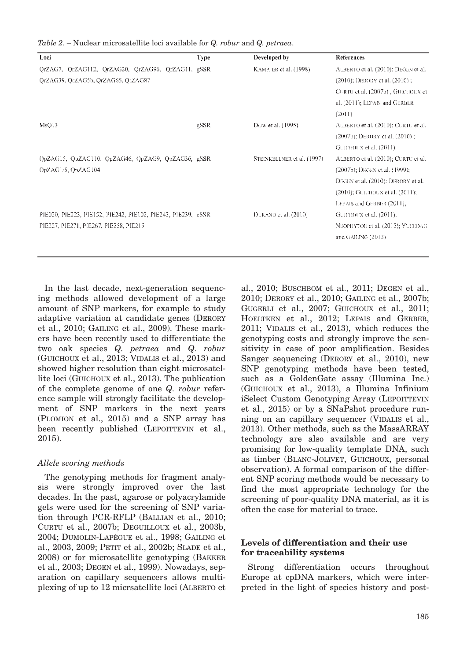| Loci                                                         | Type | Developed by                | References                          |
|--------------------------------------------------------------|------|-----------------------------|-------------------------------------|
| QrZAG7, QrZAG112, QrZAG20, QrZAG96, QrZAG11, gSSR            |      | KAMPFER et al. (1998).      | ALBERTO et al. (2010); DEGEN et al. |
| OrZAG39, OrZAG5b, OrZAG65, OrZAG87                           |      |                             | $(2010)$ ; DERORY et al. $(2010)$ ; |
|                                                              |      |                             | CURTU et al. (2007b); GUICHOUX et   |
|                                                              |      |                             | al. (2011); LEPAIS and GERBER       |
|                                                              |      |                             | (2011)                              |
| MsQ13                                                        | ESSR | Dow et al. (1995)           | ALBERTO et al. (2010); CURTU et al. |
|                                                              |      |                             | (2007b); DERORY et al. (2010);      |
|                                                              |      |                             | GUICHOUX et al. (2011).             |
| QpZAG15, QpZAG110, QpZAG46, QpZAG9, QpZAG36, gSSR            |      | STEINKELLNER et al. (1997). | ALBERTO et al. (2010); CURTU et al. |
| QpZAG1/5, QpZAG104                                           |      |                             | (2007b); DEGEN et al. (1999);       |
|                                                              |      |                             | DEGEN et al. (2010): DERORY et al.  |
|                                                              |      |                             | (2010); GUICHOUX et al. (2011);     |
|                                                              |      |                             | LEPAIS and GERBER (2011);           |
| PIE020, PIE223, PIE152. PIE242, PIE102, PIE243, PIE239. eSSR |      | DURAND et al. $(2010)$      | GUICHOUX et al. (2011);             |
| PIE227, PIE271, PIE267, PIE258, PIE215                       |      |                             | NEOPHYTOU et al. (2015); YUCEDAG    |
|                                                              |      |                             | and GAILING (2013)                  |
|                                                              |      |                             |                                     |

*Table 2.* – Nuclear microsatellite loci available for *Q. robur* and *Q. petraea*.

In the last decade, next-generation sequencing methods allowed development of a large amount of SNP markers, for example to study adaptive variation at candidate genes (DERORY et al., 2010; GAILING et al., 2009). These markers have been recently used to differentiate the two oak species *Q. petraea* and *Q. robur* (GUICHOUX et al., 2013; VIDALIS et al., 2013) and showed higher resolution than eight microsatellite loci (GUICHOUX et al., 2013). The publication of the complete genome of one *Q. robur* reference sample will strongly facilitate the development of SNP markers in the next years (PLOMION et al., 2015) and a SNP array has been recently published (LEPOITTEVIN et al., 2015).

#### *Allele scoring methods*

The genotyping methods for fragment analysis were strongly improved over the last decades. In the past, agarose or polyacrylamide gels were used for the screening of SNP variation through PCR-RFLP (BALLIAN et al., 2010; CURTU et al., 2007b; DEGUILLOUX et al., 2003b, 2004; DUMOLIN-LAPÈGUE et al., 1998; GAILING et al., 2003, 2009; PETIT et al., 2002b; SLADE et al., 2008) or for microsatellite genotyping (BAKKER et al., 2003; DEGEN et al., 1999). Nowadays, separation on capillary sequencers allows multiplexing of up to 12 micrsatellite loci (ALBERTO et al., 2010; BUSCHBOM et al., 2011; DEGEN et al., 2010; DERORY et al., 2010; GAILING et al., 2007b; GUGERLI et al., 2007; GUICHOUX et al., 2011; HOELTKEN et al., 2012; LEPAIS and GERBER, 2011; VIDALIS et al., 2013), which reduces the genotyping costs and strongly improve the sensitivity in case of poor amplification. Besides Sanger sequencing (DERORY et al., 2010), new SNP genotyping methods have been tested, such as a GoldenGate assay (Illumina Inc.) (GUICHOUX et al., 2013), a Illumina Infinium iSelect Custom Genotyping Array (LEPOITTEVIN et al., 2015) or by a SNaPshot procedure running on an capillary sequencer (VIDALIS et al., 2013). Other methods, such as the MassARRAY technology are also available and are very promising for low-quality template DNA, such as timber (BLANC-JOLIVET, GUICHOUX, personal observation). A formal comparison of the different SNP scoring methods would be necessary to find the most appropriate technology for the screening of poor-quality DNA material, as it is often the case for material to trace.

#### **Levels of differentiation and their use for traceability systems**

Strong differentiation occurs throughout Europe at cpDNA markers, which were interpreted in the light of species history and post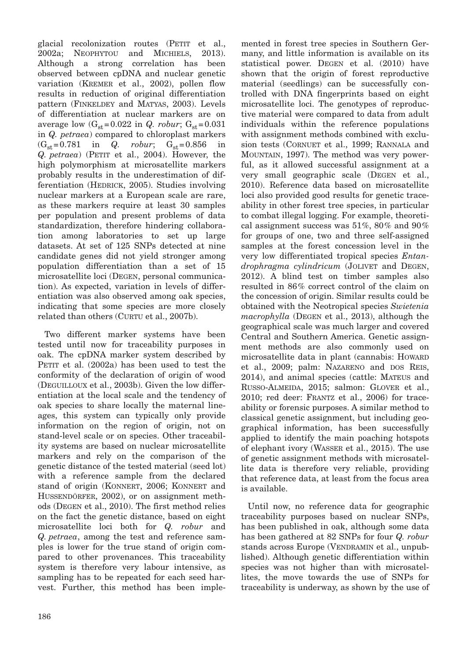glacial recolonization routes (PETIT et al., 2002a; NEOPHYTOU and MICHIELS, 2013). Although a strong correlation has been observed between cpDNA and nuclear genetic variation (KREMER et al., 2002), pollen flow results in reduction of original differentiation pattern (FINKELDEY and MATYAS, 2003). Levels of differentiation at nuclear markers are on average low  $(G_{st}=0.022 \text{ in } Q.$  *robur*;  $G_{st}=0.031$ in *Q. petraea*) compared to chloroplast markers  $(G_{st}=0.781$  in *Q. robur*;  $G_{st}=0.856$  in *Q. petraea*) (PETIT et al., 2004). However, the high polymorphism at microsatellite markers probably results in the underestimation of differentiation (HEDRICK, 2005). Studies involving nuclear markers at a European scale are rare, as these markers require at least 30 samples per population and present problems of data standardization, therefore hindering collaboration among laboratories to set up large datasets. At set of 125 SNPs detected at nine candidate genes did not yield stronger among population differentiation than a set of 15 microsatellite loci (DEGEN, personal communication). As expected, variation in levels of differentiation was also observed among oak species, indicating that some species are more closely related than others (CURTU et al., 2007b).

Two different marker systems have been tested until now for traceability purposes in oak. The cpDNA marker system described by PETIT et al. (2002a) has been used to test the conformity of the declaration of origin of wood (DEGUILLOUX et al., 2003b). Given the low differentiation at the local scale and the tendency of oak species to share locally the maternal lineages, this system can typically only provide information on the region of origin, not on stand-level scale or on species. Other traceability systems are based on nuclear microsatellite markers and rely on the comparison of the genetic distance of the tested material (seed lot) with a reference sample from the declared stand of origin (KONNERT, 2006; KONNERT and HUSSENDÖRFER, 2002), or on assignment methods (DEGEN et al., 2010). The first method relies on the fact the genetic distance, based on eight microsatellite loci both for *Q. robur* and *Q. petraea*, among the test and reference samples is lower for the true stand of origin compared to other provenances. This traceability system is therefore very labour intensive, as sampling has to be repeated for each seed harvest. Further, this method has been imple-

mented in forest tree species in Southern Germany, and little information is available on its statistical power. DEGEN et al. (2010) have shown that the origin of forest reproductive material (seedlings) can be successfully controlled with DNA fingerprints based on eight microsatellite loci. The genotypes of reproductive material were compared to data from adult individuals within the reference populations with assignment methods combined with exclusion tests (CORNUET et al., 1999; RANNALA and MOUNTAIN, 1997). The method was very powerful, as it allowed successful assignment at a very small geographic scale (DEGEN et al., 2010). Reference data based on microsatellite loci also provided good results for genetic traceability in other forest tree species, in particular to combat illegal logging. For example, theoretical assignment success was 51%, 80% and 90% for groups of one, two and three self-assigned samples at the forest concession level in the very low differentiated tropical species *Entandrophragma cylindricum* (JOLIVET and DEGEN, 2012). A blind test on timber samples also resulted in 86% correct control of the claim on the concession of origin. Similar results could be obtained with the Neotropical species *Swietenia macrophylla* (DEGEN et al., 2013), although the geographical scale was much larger and covered Central and Southern America. Genetic assignment methods are also commonly used on microsatellite data in plant (cannabis: HOWARD et al., 2009; palm: NAZARENO and DOS REIS, 2014), and animal species (cattle: MATEUS and RUSSO-ALMEIDA, 2015; salmon: GLOVER et al., 2010; red deer: FRANTZ et al., 2006) for traceability or forensic purposes. A similar method to classical genetic assignment, but including geographical information, has been successfully applied to identify the main poaching hotspots of elephant ivory (WASSER et al., 2015). The use of genetic assignment methods with microsatellite data is therefore very reliable, providing that reference data, at least from the focus area is available.

Until now, no reference data for geographic traceability purposes based on nuclear SNPs, has been published in oak, although some data has been gathered at 82 SNPs for four *Q. robur* stands across Europe (VENDRAMIN et al., unpublished). Although genetic differentiation within species was not higher than with microsatellites, the move towards the use of SNPs for traceability is underway, as shown by the use of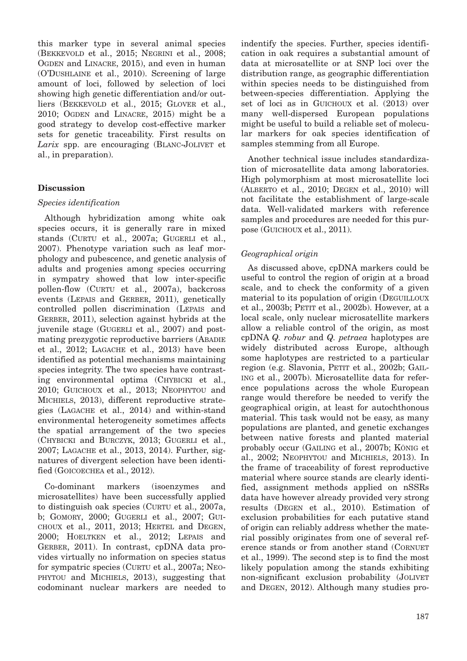this marker type in several animal species (BEKKEVOLD et al., 2015; NEGRINI et al., 2008; OGDEN and LINACRE, 2015), and even in human (O'DUSHLAINE et al., 2010). Screening of large amount of loci, followed by selection of loci showing high genetic differentiation and/or outliers (BEKKEVOLD et al., 2015; GLOVER et al., 2010; OGDEN and LINACRE, 2015) might be a good strategy to develop cost-effective marker sets for genetic traceability. First results on *Larix* spp. are encouraging (BLANC-JOLIVET et al., in preparation).

## **Discussion**

#### *Species identification*

Although hybridization among white oak species occurs, it is generally rare in mixed stands (CURTU et al., 2007a; GUGERLI et al., 2007). Phenotype variation such as leaf morphology and pubescence, and genetic analysis of adults and progenies among species occurring in sympatry showed that low inter-specific pollen-flow (CURTU et al., 2007a), backcross events (LEPAIS and GERBER, 2011), genetically controlled pollen discrimination (LEPAIS and GERBER, 2011), selection against hybrids at the juvenile stage (GUGERLI et al., 2007) and postmating prezygotic reproductive barriers (ABADIE et al., 2012; LAGACHE et al., 2013) have been identified as potential mechanisms maintaining species integrity. The two species have contrasting environmental optima (CHYBICKI et al., 2010; GUICHOUX et al., 2013; NEOPHYTOU and MICHIELS, 2013), different reproductive strategies (LAGACHE et al., 2014) and within-stand environmental heterogeneity sometimes affects the spatial arrangement of the two species (CHYBICKI and BURCZYK, 2013; GUGERLI et al., 2007; LAGACHE et al., 2013, 2014). Further, signatures of divergent selection have been identified (GOICOECHEA et al., 2012).

Co-dominant markers (isoenzymes and microsatellites) have been successfully applied to distinguish oak species (CURTU et al., 2007a, b; GOMORY, 2000; GUGERLI et al., 2007; GUI-CHOUX et al., 2011, 2013; HERTEL and DEGEN, 2000; HOELTKEN et al., 2012; LEPAIS and GERBER, 2011). In contrast, cpDNA data provides virtually no information on species status for sympatric species (CURTU et al., 2007a; NEO-PHYTOU and MICHIELS, 2013), suggesting that codominant nuclear markers are needed to

indentify the species. Further, species identification in oak requires a substantial amount of data at microsatellite or at SNP loci over the distribution range, as geographic differentiation within species needs to be distinguished from between-species differentiation. Applying the set of loci as in GUICHOUX et al. (2013) over many well-dispersed European populations might be useful to build a reliable set of molecular markers for oak species identification of samples stemming from all Europe.

Another technical issue includes standardization of microsatellite data among laboratories. High polymorphism at most microsatellite loci (ALBERTO et al., 2010; DEGEN et al., 2010) will not facilitate the establishment of large-scale data. Well-validated markers with reference samples and procedures are needed for this purpose (GUICHOUX et al., 2011).

# *Geographical origin*

As discussed above, cpDNA markers could be useful to control the region of origin at a broad scale, and to check the conformity of a given material to its population of origin (DEGUILLOUX et al., 2003b; PETIT et al., 2002b). However, at a local scale, only nuclear microsatellite markers allow a reliable control of the origin, as most cpDNA *Q. robur* and *Q. petraea* haplotypes are widely distributed across Europe, although some haplotypes are restricted to a particular region (e.g. Slavonia, PETIT et al., 2002b; GAIL-ING et al., 2007b). Microsatellite data for reference populations across the whole European range would therefore be needed to verify the geographical origin, at least for autochthonous material. This task would not be easy, as many populations are planted, and genetic exchanges between native forests and planted material probably occur (GAILING et al., 2007b; KÖNIG et al., 2002; NEOPHYTOU and MICHIELS, 2013). In the frame of traceability of forest reproductive material where source stands are clearly identified, assignment methods applied on nSSRs data have however already provided very strong results (DEGEN et al., 2010). Estimation of exclusion probabilities for each putative stand of origin can reliably address whether the material possibly originates from one of several reference stands or from another stand (CORNUET et al., 1999). The second step is to find the most likely population among the stands exhibiting non-significant exclusion probability (JOLIVET and DEGEN, 2012). Although many studies pro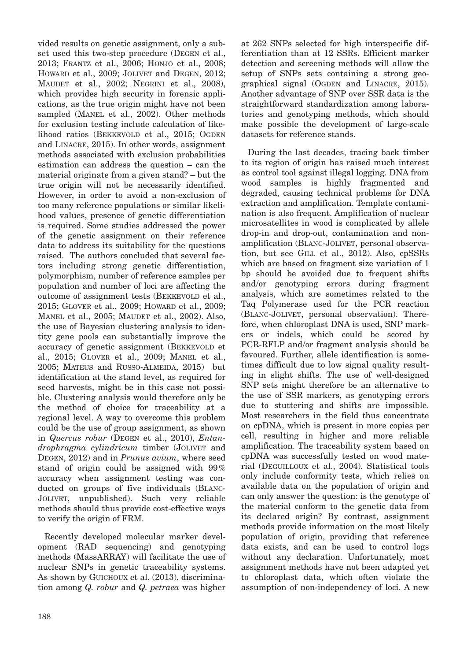vided results on genetic assignment, only a subset used this two-step procedure (DEGEN et al., 2013; FRANTZ et al., 2006; HONJO et al., 2008; HOWARD et al., 2009; JOLIVET and DEGEN, 2012; MAUDET et al., 2002; NEGRINI et al., 2008), which provides high security in forensic applications, as the true origin might have not been sampled (MANEL et al., 2002). Other methods for exclusion testing include calculation of likelihood ratios (BEKKEVOLD et al., 2015; OGDEN and LINACRE, 2015). In other words, assignment methods associated with exclusion probabilities estimation can address the question – can the material originate from a given stand? – but the true origin will not be necessarily identified. However, in order to avoid a non-exclusion of too many reference populations or similar likelihood values, presence of genetic differentiation is required. Some studies addressed the power of the genetic assignment on their reference data to address its suitability for the questions raised. The authors concluded that several factors including strong genetic differentiation, polymorphism, number of reference samples per population and number of loci are affecting the outcome of assignment tests (BEKKEVOLD et al., 2015; GLOVER et al., 2009; HOWARD et al., 2009; MANEL et al., 2005; MAUDET et al., 2002). Also, the use of Bayesian clustering analysis to identity gene pools can substantially improve the accuracy of genetic assignment (BEKKEVOLD et al., 2015; GLOVER et al., 2009; MANEL et al., 2005; MATEUS and RUSSO-ALMEIDA, 2015) but identification at the stand level, as required for seed harvests, might be in this case not possible. Clustering analysis would therefore only be the method of choice for traceability at a regional level. A way to overcome this problem could be the use of group assignment, as shown in *Quercus robur* (DEGEN et al., 2010), *Entandrophragma cylindricum* timber (JOLIVET and DEGEN, 2012) and in *Prunus avium*, where seed stand of origin could be assigned with 99% accuracy when assignment testing was conducted on groups of five individuals (BLANC-JOLIVET, unpublished). Such very reliable methods should thus provide cost-effective ways to verify the origin of FRM.

Recently developed molecular marker development (RAD sequencing) and genotyping methods (MassARRAY) will facilitate the use of nuclear SNPs in genetic traceability systems. As shown by GUICHOUX et al. (2013), discrimination among *Q. robur* and *Q. petraea* was higher

at 262 SNPs selected for high interspecific differentiation than at 12 SSRs. Efficient marker detection and screening methods will allow the setup of SNPs sets containing a strong geographical signal (OGDEN and LINACRE, 2015). Another advantage of SNP over SSR data is the straightforward standardization among laboratories and genotyping methods, which should make possible the development of large-scale datasets for reference stands.

During the last decades, tracing back timber to its region of origin has raised much interest as control tool against illegal logging. DNA from wood samples is highly fragmented and degraded, causing technical problems for DNA extraction and amplification. Template contamination is also frequent. Amplification of nuclear microsatellites in wood is complicated by allele drop-in and drop-out, contamination and nonamplification (BLANC-JOLIVET, personal observation, but see GILL et al., 2012). Also, cpSSRs which are based on fragment size variation of 1 bp should be avoided due to frequent shifts and/or genotyping errors during fragment analysis, which are sometimes related to the Taq Polymerase used for the PCR reaction (BLANC-JOLIVET, personal observation). Therefore, when chloroplast DNA is used, SNP markers or indels, which could be scored by PCR-RFLP and/or fragment analysis should be favoured. Further, allele identification is sometimes difficult due to low signal quality resulting in slight shifts. The use of well-designed SNP sets might therefore be an alternative to the use of SSR markers, as genotyping errors due to stuttering and shifts are impossible. Most researchers in the field thus concentrate on cpDNA, which is present in more copies per cell, resulting in higher and more reliable amplification. The traceability system based on cpDNA was successfully tested on wood material (DEGUILLOUX et al., 2004). Statistical tools only include conformity tests, which relies on available data on the population of origin and can only answer the question: is the genotype of the material conform to the genetic data from its declared origin? By contrast, assignment methods provide information on the most likely population of origin, providing that reference data exists, and can be used to control logs without any declaration. Unfortunately, most assignment methods have not been adapted yet to chloroplast data, which often violate the assumption of non-independency of loci. A new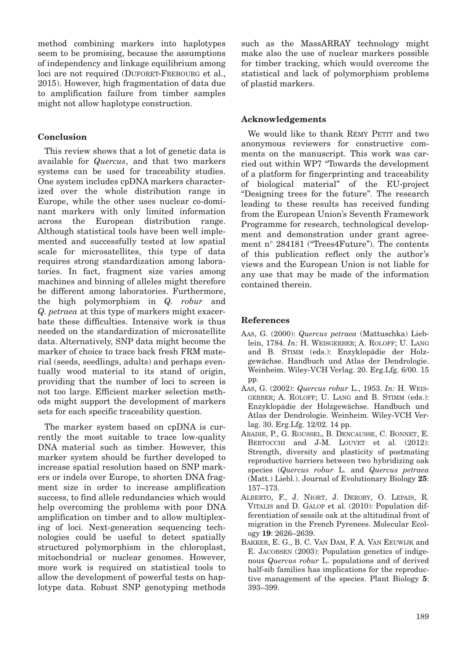method combining markers into haplotypes seem to be promising, because the assumptions of independency and linkage equilibrium among loci are not required (DUFORET-FREBOURG et al., 2015). However, high fragmentation of data due to amplification failure from timber samples might not allow haplotype construction.

#### **Conclusion**

This review shows that a lot of genetic data is available for *Quercus*, and that two markers systems can be used for traceability studies. One system includes cpDNA markers characterized over the whole distribution range in Europe, while the other uses nuclear co-dominant markers with only limited information across the European distribution range. Although statistical tools have been well implemented and successfully tested at low spatial scale for microsatellites, this type of data requires strong standardization among laboratories. In fact, fragment size varies among machines and binning of alleles might therefore be different among laboratories. Furthermore, the high polymorphism in *Q. robur* and *Q. petraea* at this type of markers might exacerbate these difficulties. Intensive work is thus needed on the standardization of microsatellite data. Alternatively, SNP data might become the marker of choice to trace back fresh FRM material (seeds, seedlings, adults) and perhaps eventually wood material to its stand of origin, providing that the number of loci to screen is not too large. Efficient marker selection methods might support the development of markers sets for each specific traceability question.

The marker system based on cpDNA is currently the most suitable to trace low-quality DNA material such as timber. However, this marker system should be further developed to increase spatial resolution based on SNP markers or indels over Europe, to shorten DNA fragment size in order to increase amplification success, to find allele redundancies which would help overcoming the problems with poor DNA amplification on timber and to allow multiplexing of loci. Next-generation sequencing technologies could be useful to detect spatially structured polymorphism in the chloroplast, mitochondrial or nuclear genomes. However, more work is required on statistical tools to allow the development of powerful tests on haplotype data. Robust SNP genotyping methods

such as the MassARRAY technology might make also the use of nuclear markers possible for timber tracking, which would overcome the statistical and lack of polymorphism problems of plastid markers.

#### **Acknowledgements**

We would like to thank RÉMY PETIT and two anonymous reviewers for constructive comments on the manuscript. This work was carried out within WP7 "Towards the development of a platform for fingerprinting and traceability of biological material" of the EU-project "Designing trees for the future". The research leading to these results has received funding from the European Union's Seventh Framework Programme for research, technological development and demonstration under grant agreement n° 284181 ("Trees4Future"). The contents of this publication reflect only the author's views and the European Union is not liable for any use that may be made of the information contained therein.

#### **References**

- AAS, G. (2000): *Quercus petraea* (Mattuschka) Lieblein, 1784. *In:* H. WEISGERBER; A. ROLOFF; U. LANG and B. STIMM (eds.): Enzyklopädie der Holzgewächse. Handbuch und Atlas der Dendrologie. Weinheim. Wiley-VCH Verlag. 20. Erg.Lfg. 6/00. 15 pp.
- AAS, G. (2002): *Quercus robur* L., 1953. *In:* H. WEIS-GERBER; A. ROLOFF; U. LANG and B. STIMM (eds.): Enzyklopädie der Holzgewächse. Handbuch und Atlas der Dendrologie. Weinheim. Wiley-VCH Verlag. 30. Erg.Lfg. 12/02. 14 pp.
- ABADIE, P., G. ROUSSEL, B. DENCAUSSE, C. BONNET, E. BERTOCCHI and J-M. LOUVET et al. (2012): Strength, diversity and plasticity of postmating reproductive barriers between two hybridizing oak species (*Quercus robur* L. and *Quercus petraea* (Matt.) Liebl.). Journal of Evolutionary Biology **25**: 157–173.
- ALBERTO, F., J. NIORT, J. DERORY, O. LEPAIS, R. VITALIS and D. GALOP et al. (2010): Population differentiation of sessile oak at the altitudinal front of migration in the French Pyrenees. Molecular Ecology **19**: 2626–2639.
- BAKKER, E. G., B. C. VAN DAM, F. A. VAN EEUWIJK and E. JACOBSEN (2003): Population genetics of indigenous *Quercus robur* L. populations and of derived half-sib families has implications for the reproductive management of the species. Plant Biology **5**: 393–399.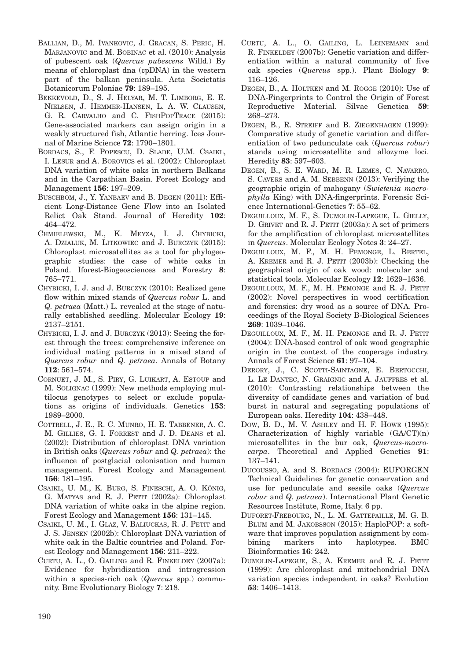- BALLIAN, D., M. IVANKOVIC, J. GRACAN, S. PERIC, H. MARJANOVIC and M. BOBINAC et al. (2010): Analysis of pubescent oak (*Quercus pubescens* Willd.) By means of chloroplast dna (cpDNA) in the western part of the balkan peninsula. Acta Societatis Botanicorum Poloniae **79**: 189–195.
- BEKKEVOLD, D., S. J. HELYAR, M. T. LIMBORG, E. E. NIELSEN, J. HEMMER-HANSEN, L. A. W. CLAUSEN, G. R. CARVALHO and C. FISHPOPTRACE (2015): Gene-associated markers can assign origin in a weakly structured fish, Atlantic herring. Ices Journal of Marine Science **72**: 1790–1801.
- BORDACS, S., F. POPESCU, D. SLADE, U.M. CSAIKL, I. LESUR and A. BOROVICS et al. (2002): Chloroplast DNA variation of white oaks in northern Balkans and in the Carpathian Basin. Forest Ecology and Management **156**: 197–209.
- BUSCHBOM, J., Y. YANBAEV and B. DEGEN (2011): Efficient Long-Distance Gene Flow into an Isolated Relict Oak Stand. Journal of Heredity **102**: 464–472.
- CHMIELEWSKI, M., K. MEYZA, I. J. CHYBICKI, A. DZIALUK, M. LITKOWIEC and J. BURCZYK (2015): Chloroplast microsatellites as a tool for phylogeographic studies: the case of white oaks in Poland. Iforest-Biogeosciences and Forestry **8**: 765–771.
- CHYBICKI, I. J. and J. BURCZYK (2010): Realized gene flow within mixed stands of *Quercus robur* L. and *Q. petraea* (Matt.) L. revealed at the stage of naturally established seedling. Molecular Ecology **19**: 2137–2151.
- CHYBICKI, I. J. and J. BURCZYK (2013): Seeing the forest through the trees: comprehensive inference on individual mating patterns in a mixed stand of *Quercus robur* and *Q. petraea*. Annals of Botany **112**: 561–574.
- CORNUET, J. M., S. PIRY, G. LUIKART, A. ESTOUP and M. SOLIGNAC (1999): New methods employing multilocus genotypes to select or exclude populations as origins of individuals. Genetics **153**: 1989–2000.
- COTTRELL, J. E., R. C. MUNRO, H. E. TABBENER, A. C. M. GILLIES, G. I. FORREST and J. D. DEANS et al. (2002): Distribution of chloroplast DNA variation in British oaks (*Quercus robur* and *Q. petraea*): the influence of postglacial colonisation and human management. Forest Ecology and Management **156**: 181–195.
- CSAIKL, U. M., K. BURG, S. FINESCHI, A. O. KÖNIG, G. MATYAS and R. J. PETIT (2002a): Chloroplast DNA variation of white oaks in the alpine region. Forest Ecology and Management **156**: 131–145.
- CSAIKL, U. M., I. GLAZ, V. BALIUCKAS, R. J. PETIT and J. S. JENSEN (2002b): Chloroplast DNA variation of white oak in the Baltic countries and Poland. Forest Ecology and Management **156**: 211–222.
- CURTU, A. L., O. GAILING and R. FINKELDEY (2007a): Evidence for hybridization and introgression within a species-rich oak (*Quercus* spp.) community. Bmc Evolutionary Biology **7**: 218.
- CURTU, A. L., O. GAILING, L. LEINEMANN and R. FINKELDEY (2007b): Genetic variation and differentiation within a natural community of five oak species (*Quercus* spp.). Plant Biology **9**: 116–126.
- DEGEN, B., A. HOLTKEN and M. ROGGE (2010): Use of DNA-Fingerprints to Control the Origin of Forest Reproductive Material. Silvae Genetica **59**: 268–273.
- DEGEN, B., R. STREIFF and B. ZIEGENHAGEN (1999): Comparative study of genetic variation and differentiation of two pedunculate oak (*Quercus robur*) stands using microsatellite and allozyme loci. Heredity **83**: 597–603.
- DEGEN, B., S. E. WARD, M. R. LEMES, C. NAVARRO, S. CAVERS and A. M. SEBBENN (2013): Verifying the geographic origin of mahogany (*Swietenia macrophylla* King) with DNA-fingerprints. Forensic Science International-Genetics **7**: 55–62.
- DEGUILLOUX, M. F., S. DUMOLIN-LAPEGUE, L. GIELLY, D. GRIVET and R. J. PETIT (2003a): A set of primers for the amplification of chloroplast microsatellites in *Quercus*. Molecular Ecology Notes **3**: 24–27.
- DEGUILLOUX, M. F., M. H. PEMONGE, L. BERTEL, A. KREMER and R. J. PETIT (2003b): Checking the geographical origin of oak wood: molecular and statistical tools. Molecular Ecology **12**: 1629–1636.
- DEGUILLOUX, M. F., M. H. PEMONGE and R. J. PETIT (2002): Novel perspectives in wood certification and forensics: dry wood as a source of DNA. Proceedings of the Royal Society B-Biological Sciences **269**: 1039–1046.
- DEGUILLOUX, M. F., M. H. PEMONGE and R. J. PETIT (2004): DNA-based control of oak wood geographic origin in the context of the cooperage industry. Annals of Forest Science **61**: 97–104.
- DERORY, J., C. SCOTTI-SAINTAGNE, E. BERTOCCHI, L. LE DANTEC, N. GRAIGNIC and A. JAUFFRES et al. (2010): Contrasting relationships between the diversity of candidate genes and variation of bud burst in natural and segregating populations of European oaks. Heredity **104**: 438–448.
- DOW, B. D., M. V. ASHLEY and H. F. HOWE (1995): Characterization of highly variable  $(GA/CT)(n)$ microsatellites in the bur oak, *Quercus-macrocarpa*. Theoretical and Applied Genetics **91**: 137–141.
- DUCOUSSO, A. and S. BORDACS (2004): EUFORGEN Technical Guidelines for genetic conservation and use for pedunculate and sessile oaks (*Quercus robur* and *Q. petraea*). International Plant Genetic Resources Institute, Rome, Italy. 6 pp.
- DUFORET-FREBOURG, N., L. M. GATTEPAILLE, M. G. B. BLUM and M. JAKOBSSON (2015): HaploPOP: a software that improves population assignment by combining markers into haplotypes. BMC Bioinformatics **16**: 242.
- DUMOLIN-LAPEGUE, S., A. KREMER and R. J. PETIT (1999): Are chloroplast and mitochondrial DNA variation species independent in oaks? Evolution **53**: 1406–1413.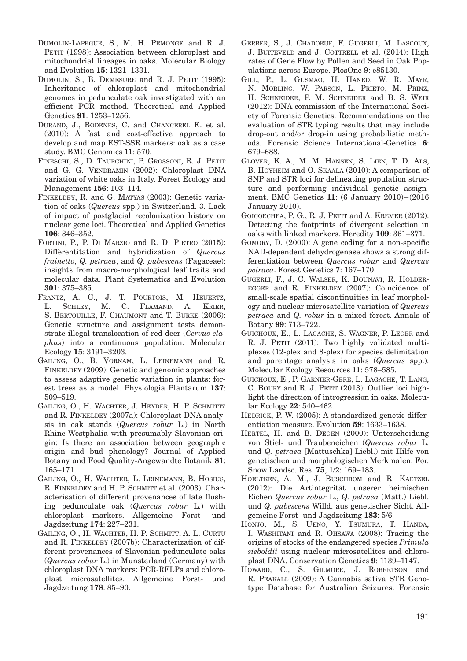- DUMOLIN-LAPEGUE, S., M. H. PEMONGE and R. J. PETIT (1998): Association between chloroplast and mitochondrial lineages in oaks. Molecular Biology and Evolution **15**: 1321–1331.
- DUMOLIN, S., B. DEMESURE and R. J. PETIT (1995): Inheritance of chloroplast and mitochondrial genomes in pedunculate oak investigated with an efficient PCR method. Theoretical and Applied Genetics **91**: 1253–1256.
- DURAND, J., BODENES, C. and CHANCEREL E. et al. (2010): A fast and cost-effective approach to develop and map EST-SSR markers: oak as a case study. BMC Genomics **11**: 570.
- FINESCHI, S., D. TAURCHINI, P. GROSSONI, R. J. PETIT and G. G. VENDRAMIN (2002): Chloroplast DNA variation of white oaks in Italy. Forest Ecology and Management **156**: 103–114.
- FINKELDEY, R. and G. MATYAS (2003): Genetic variation of oaks (*Quercus* spp.) in Switzerland. 3. Lack of impact of postglacial recolonization history on nuclear gene loci. Theoretical and Applied Genetics **106**: 346–352.
- FORTINI, P., P. DI MARZIO and R. DI PIETRO (2015): Differentitation and hybridization of *Quercus frainetto*, *Q. petraea*, and *Q. pubescens* (Fagaceae): insights from macro-morphological leaf traits and molecular data. Plant Systematics and Evolution **301**: 375–385.
- FRANTZ, A. C., J. T. POURTOIS, M. HEUERTZ, L. SCHLEY, M. C. FLAMAND, A. KRIER, S. BERTOUILLE, F. CHAUMONT and T. BURKE (2006): Genetic structure and assignment tests demonstrate illegal translocation of red deer (*Cervus elaphus*) into a continuous population. Molecular Ecology **15**: 3191–3203.
- GAILING, O., B. VORNAM, L. LEINEMANN and R. FINKELDEY (2009): Genetic and genomic approaches to assess adaptive genetic variation in plants: forest trees as a model. Physiologia Plantarum **137**: 509–519.
- GAILING, O., H. WACHTER, J. HEYDER, H. P. SCHMITTZ and R. FINKELDEY (2007a): Chloroplast DNA analysis in oak stands (*Quercus robur* L.) in North Rhine-Westphalia with presumably Slavonian origin: Is there an association between geographic origin and bud phenology? Journal of Applied Botany and Food Quality-Angewandte Botanik **81**: 165–171.
- GAILING, O., H. WACHTER, L. LEINEMANN, B. HOSIUS, R. FINKELDEY and H. P. SCHMITT et al. (2003): Characterisation of different provenances of late flushing pedunculate oak (*Quercus robur* L.) with chloroplast markers. Allgemeine Forst- und Jagdzeitung **174**: 227–231.
- GAILING, O., H. WACHTER, H. P. SCHMITT, A. L. CURTU and R. FINKELDEY (2007b): Characterization of different provenances of Slavonian pedunculate oaks (*Quercus robur* L.) in Munsterland (Germany) with chloroplast DNA markers: PCR-RFLPs and chloroplast microsatellites. Allgemeine Forst- und Jagdzeitung **178**: 85–90.
- GERBER, S., J. CHADOEUF, F. GUGERLI, M. LASCOUX, J. BUITEVELD and J. COTTRELL et al. (2014): High rates of Gene Flow by Pollen and Seed in Oak Populations across Europe. PlosOne 9: e85130.
- GILL, P., L. GUSMAO, H. HANED, W. R. MAYR, N. MORLING, W. PARSON, L. PRIETO, M. PRINZ, H. SCHNEIDER, P. M. SCHNEIDER and B. S. WEIR (2012): DNA commission of the International Society of Forensic Genetics: Recommendations on the evaluation of STR typing results that may include drop-out and/or drop-in using probabilistic methods. Forensic Science International-Genetics **6**: 679–688.
- GLOVER, K. A., M. M. HANSEN, S. LIEN, T. D. ALS, B. HOYHEIM and O. SKAALA (2010): A comparison of SNP and STR loci for delineating population structure and performing individual genetic assignment. BMC Genetics **11**: (6 January 2010)–(2016 January 2010).
- GOICOECHEA, P. G., R. J. PETIT and A. KREMER (2012): Detecting the footprints of divergent selection in oaks with linked markers. Heredity **109**: 361–371.
- GOMORY, D. (2000): A gene coding for a non-specific NAD-dependent dehydrogenase shows a strong differentiation between *Quercus robur* and *Quercus petraea*. Forest Genetics **7**: 167–170.
- GUGERLI, F., J. C. WALSER, K. DOUNAVI, R. HOLDER-EGGER and R. FINKELDEY (2007): Coincidence of small-scale spatial discontinuities in leaf morphology and nuclear microsatellite variation of *Quercus petraea* and *Q. robur* in a mixed forest. Annals of Botany **99**: 713–722.
- GUICHOUX, E., L. LAGACHE, S. WAGNER, P. LEGER and R. J. PETIT (2011): Two highly validated multiplexes (12-plex and 8-plex) for species delimitation and parentage analysis in oaks (*Quercus* spp.). Molecular Ecology Resources **11**: 578–585.
- GUICHOUX, E., P. GARNIER-GERE, L. LAGACHE, T. LANG, C. BOURY and R. J. PETIT (2013): Outlier loci highlight the direction of introgression in oaks. Molecular Ecology **22**: 540–462.
- HEDRICK, P. W. (2005): A standardized genetic differentiation measure. Evolution **59**: 1633–1638.
- HERTEL, H. and B. DEGEN (2000): Unterscheidung von Stiel- und Traubeneichen (*Quercus robur* L. und *Q. petraea* [Mattuschka] Liebl.) mit Hilfe von genetischen und morphologischen Merkmalen. For. Snow Landsc. Res. **75**, 1/2: 169–183.
- HOELTKEN, A. M., J. BUSCHBOM and R. KAETZEL (2012): Die Artintegrität unserer heimischen Eichen *Quercus robur* L., *Q. petraea* (Matt.) Liebl. und *Q. pubescens* Willd. aus genetischer Sicht. Allgemeine Forst- und Jagdzeitung **183**: 5/6
- HONJO, M., S. UENO, Y. TSUMURA, T. HANDA, I. WASHITANI and R. OHSAWA (2008): Tracing the origins of stocks of the endangered species *Primula sieboldii* using nuclear microsatellites and chloroplast DNA. Conservation Genetics **9**: 1139–1147.
- HOWARD, C., S. GILMORE, J. ROBERTSON and R. PEAKALL (2009): A Cannabis sativa STR Genotype Database for Australian Seizures: Forensic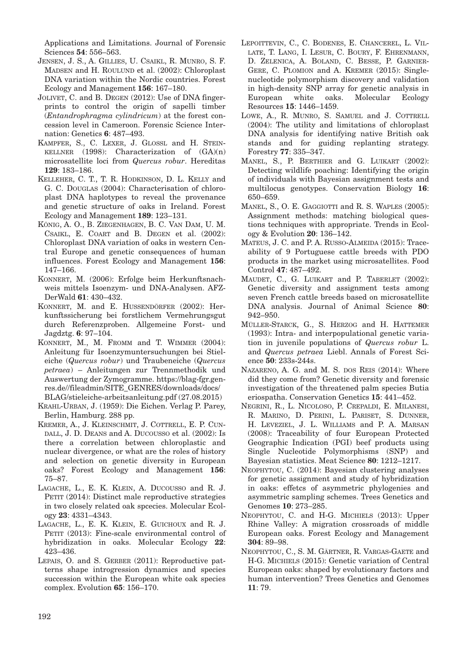Applications and Limitations. Journal of Forensic Sciences **54**: 556–563.

- JENSEN, J. S., A. GILLIES, U. CSAIKL, R. MUNRO, S. F. MADSEN and H. ROULUND et al. (2002): Chloroplast DNA variation within the Nordic countries. Forest Ecology and Management **156**: 167–180.
- JOLIVET, C. and B. DEGEN (2012): Use of DNA fingerprints to control the origin of sapelli timber (*Entandrophragma cylindricum*) at the forest concession level in Cameroon. Forensic Science Internation: Genetics **6**: 487–493.
- KAMPFER, S., C. LEXER, J. GLOSSL and H. STEIN-KELLNER  $(1998)$ : Characterization of  $(GA)(n)$ microsatellite loci from *Quercus robur*. Hereditas **129**: 183–186.
- KELLEHER, C. T., T. R. HODKINSON, D. L. KELLY and G. C. DOUGLAS (2004): Characterisation of chloroplast DNA haplotypes to reveal the provenance and genetic structure of oaks in Ireland. Forest Ecology and Management **189**: 123–131.
- KÖNIG, A. O., B. ZIEGENHAGEN, B. C. VAN DAM, U. M. CSAIKL, E. COART and B. DEGEN et al. (2002): Chloroplast DNA variation of oaks in western Central Europe and genetic consequences of human influences. Forest Ecology and Management **156**: 147–166.
- KONNERT, M. (2006): Erfolge beim Herkunftsnachweis mittels Isoenzym- und DNA-Analysen. AFZ-DerWald **61**: 430–432.
- KONNERT, M. and E. HUSSENDÖRFER (2002): Herkunftssicherung bei forstlichem Vermehrungsgut durch Referenzproben. Allgemeine Forst- und Jagdztg. **6**: 97–104.
- KONNERT, M., M. FROMM and T. WIMMER (2004): Anleitung für Isoenzymuntersuchungen bei Stieleiche (*Quercus robur*) und Traubeneiche (*Quercus petraea*) – Anleitungen zur Trennmethodik und Auswertung der Zymogramme. https://blag-fgr.genres.de//fileadmin/SITE\_GENRES/downloads/docs/ BLAG/stieleiche-arbeitsanleitung.pdf (27.08.2015)
- KRAHL-URBAN, J. (1959): Die Eichen. Verlag P. Parey, Berlin, Hamburg. 288 pp.
- KREMER, A., J. KLEINSCHMIT, J. COTTRELL, E. P. CUN-DALL, J. D. DEANS and A. DUCOUSSO et al. (2002): Is there a correlation between chloroplastic and nuclear divergence, or what are the roles of history and selection on genetic diversity in European oaks? Forest Ecology and Management **156**: 75–87.
- LAGACHE, L., E. K. KLEIN, A. DUCOUSSO and R. J. PETIT (2014): Distinct male reproductive strategies in two closely related oak spcecies. Molecular Ecology **23**: 4331–4343.
- LAGACHE, L., E. K. KLEIN, E. GUICHOUX and R. J. PETIT (2013): Fine-scale environmental control of hybridization in oaks. Molecular Ecology **22**: 423–436.
- LEPAIS, O. and S. GERBER (2011): Reproductive patterns shape introgression dynamics and species succession within the European white oak species complex. Evolution **65**: 156–170.
- LEPOITTEVIN, C., C. BODENES, E. CHANCEREL, L. VIL-LATE, T. LANG, I. LESUR, C. BOURY, F. EHRENMANN, D. ZELENICA, A. BOLAND, C. BESSE, P. GARNIER-GERE, C. PLOMION and A. KREMER (2015): Singlenucleotide polymorphism discovery and validation in high-density SNP array for genetic analysis in European white oaks. Molecular Ecology Resources **15**: 1446–1459.
- LOWE, A., R. MUNRO, S. SAMUEL and J. COTTRELL (2004): The utility and limitations of chloroplast DNA analysis for identifying native British oak stands and for guiding replanting strategy. Forestry **77**: 335–347.
- MANEL, S., P. BERTHIER and G. LUIKART (2002): Detecting wildlife poaching: Identifying the origin of individuals with Bayesian assignment tests and multilocus genotypes. Conservation Biology **16**: 650–659.
- MANEL, S., O. E. GAGGIOTTI and R. S. WAPLES (2005): Assignment methods: matching biological questions techniques with appropriate. Trends in Ecology & Evolution **20**: 136–142.
- MATEUS, J. C. and P. A. RUSSO-ALMEIDA (2015): Traceability of 9 Portuguese cattle breeds with PDO products in the market using microsatellites. Food Control **47**: 487–492.
- MAUDET, C., G. LUIKART and P. TABERLET (2002): Genetic diversity and assignment tests among seven French cattle breeds based on microsatellite DNA analysis. Journal of Animal Science **80**: 942–950.
- MÜLLER-STARCK, G., S. HERZOG and H. HATTEMER (1993): Intra- and interpopulational genetic variation in juvenile populations of *Quercus robur* L. and *Quercus petraea* Liebl. Annals of Forest Science **50**: 233s-244s.
- NAZARENO, A. G. and M. S. DOS REIS (2014): Where did they come from? Genetic diversity and forensic investigation of the threatened palm species Butia eriospatha. Conservation Genetics **15**: 441–452.
- NEGRINI, R., L. NICOLOSO, P. CREPALDI, E. MILANESI, R. MARINO, D. PERINI, L. PARISET, S. DUNNER, H. LEVEZIEL, J. L. WILLIAMS and P. A. MARSAN (2008): Traceability of four European Protected Geographic Indication (PGI) beef products using Single Nucleotide Polymorphisms (SNP) and Bayesian statistics. Meat Science **80**: 1212–1217.
- NEOPHYTOU, C. (2014): Bayesian clustering analyses for genetic assignment and study of hybridization in oaks: effetcs of asymmetric phylogenies and asymmetric sampling schemes. Trees Genetics and Genomes **10**: 273–285.
- NEOPHYTOU, C. and H-G. MICHIELS (2013): Upper Rhine Valley: A migration crossroads of middle European oaks. Forest Ecology and Management **304**: 89–98.
- NEOPHYTOU, C., S. M. GÄRTNER, R. VARGAS-GAETE and H-G. MICHIELS (2015): Genetic variation of Central European oaks: shaped by evolutionary factors and human intervention? Trees Genetics and Genomes **11**: 79.